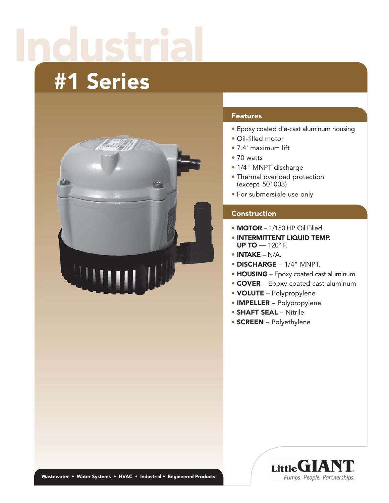# Industrial

## #1 Series



#### **Features**

- Epoxy coated die-cast aluminum housing
- Oil-filled motor
- 7.4' maximum lift
- 70 watts
- 1/4" MNPT discharge
- Thermal overload protection (except 501003)
- For submersible use only

#### **Construction**

- MOTOR 1/150 HP Oil Filled.
- INTERMITTENT LIQUID TEMP. UP TO — 120° F.
- INTAKE N/A.
- DISCHARGE 1/4" MNPT.
- **HOUSING** Epoxy coated cast aluminum
- COVER Epoxy coated cast aluminum
- VOLUTE Polypropylene
- IMPELLER Polypropylene
- SHAFT SEAL Nitrile
- SCREEN Polyethylene